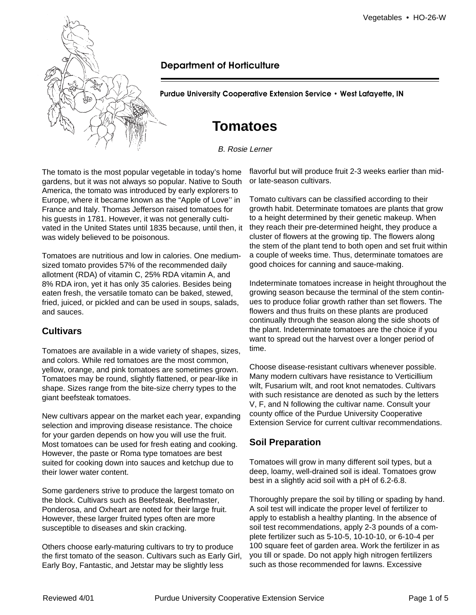

# **Department of Horticulture**

**Purdue University Cooperative Extension Service • West Lafayette, IN** 

# **Tomatoes**

B. Rosie Lerner

The tomato is the most popular vegetable in today's home gardens, but it was not always so popular. Native to South America, the tomato was introduced by early explorers to Europe, where it became known as the "Apple of Love'' in France and Italy. Thomas Jefferson raised tomatoes for his guests in 1781. However, it was not generally cultivated in the United States until 1835 because, until then, it was widely believed to be poisonous.

Tomatoes are nutritious and low in calories. One mediumsized tomato provides 57% of the recommended daily allotment (RDA) of vitamin C, 25% RDA vitamin A, and 8% RDA iron, yet it has only 35 calories. Besides being eaten fresh, the versatile tomato can be baked, stewed, fried, juiced, or pickled and can be used in soups, salads, and sauces.

# **Cultivars**

Tomatoes are available in a wide variety of shapes, sizes, and colors. While red tomatoes are the most common, yellow, orange, and pink tomatoes are sometimes grown. Tomatoes may be round, slightly flattened, or pear-like in shape. Sizes range from the bite-size cherry types to the giant beefsteak tomatoes.

New cultivars appear on the market each year, expanding selection and improving disease resistance. The choice for your garden depends on how you will use the fruit. Most tomatoes can be used for fresh eating and cooking. However, the paste or Roma type tomatoes are best suited for cooking down into sauces and ketchup due to their lower water content.

Some gardeners strive to produce the largest tomato on the block. Cultivars such as Beefsteak, Beefmaster, Ponderosa, and Oxheart are noted for their large fruit. However, these larger fruited types often are more susceptible to diseases and skin cracking.

Others choose early-maturing cultivars to try to produce the first tomato of the season. Cultivars such as Early Girl, Early Boy, Fantastic, and Jetstar may be slightly less

flavorful but will produce fruit 2-3 weeks earlier than midor late-season cultivars.

Tomato cultivars can be classified according to their growth habit. Determinate tomatoes are plants that grow to a height determined by their genetic makeup. When they reach their pre-determined height, they produce a cluster of flowers at the growing tip. The flowers along the stem of the plant tend to both open and set fruit within a couple of weeks time. Thus, determinate tomatoes are good choices for canning and sauce-making.

Indeterminate tomatoes increase in height throughout the growing season because the terminal of the stem continues to produce foliar growth rather than set flowers. The flowers and thus fruits on these plants are produced continually through the season along the side shoots of the plant. Indeterminate tomatoes are the choice if you want to spread out the harvest over a longer period of time.

Choose disease-resistant cultivars whenever possible. Many modern cultivars have resistance to Verticillium wilt, Fusarium wilt, and root knot nematodes. Cultivars with such resistance are denoted as such by the letters V, F, and N following the cultivar name. Consult your county office of the Purdue University Cooperative Extension Service for current cultivar recommendations.

# **Soil Preparation**

Tomatoes will grow in many different soil types, but a deep, loamy, well-drained soil is ideal. Tomatoes grow best in a slightly acid soil with a pH of 6.2-6.8.

Thoroughly prepare the soil by tilling or spading by hand. A soil test will indicate the proper level of fertilizer to apply to establish a healthy planting. In the absence of soil test recommendations, apply 2-3 pounds of a complete fertilizer such as 5-10-5, 10-10-10, or 6-10-4 per 100 square feet of garden area. Work the fertilizer in as you till or spade. Do not apply high nitrogen fertilizers such as those recommended for lawns. Excessive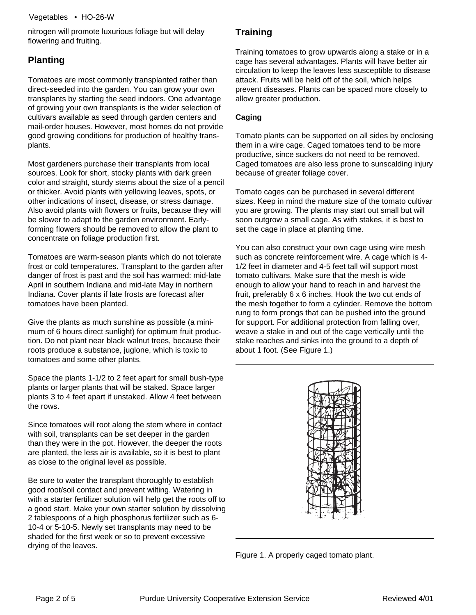nitrogen will promote luxurious foliage but will delay flowering and fruiting.

# **Planting**

Tomatoes are most commonly transplanted rather than direct-seeded into the garden. You can grow your own transplants by starting the seed indoors. One advantage of growing your own transplants is the wider selection of cultivars available as seed through garden centers and mail-order houses. However, most homes do not provide good growing conditions for production of healthy transplants.

Most gardeners purchase their transplants from local sources. Look for short, stocky plants with dark green color and straight, sturdy stems about the size of a pencil or thicker. Avoid plants with yellowing leaves, spots, or other indications of insect, disease, or stress damage. Also avoid plants with flowers or fruits, because they will be slower to adapt to the garden environment. Earlyforming flowers should be removed to allow the plant to concentrate on foliage production first.

Tomatoes are warm-season plants which do not tolerate frost or cold temperatures. Transplant to the garden after danger of frost is past and the soil has warmed: mid-late April in southern Indiana and mid-late May in northern Indiana. Cover plants if late frosts are forecast after tomatoes have been planted.

Give the plants as much sunshine as possible (a minimum of 6 hours direct sunlight) for optimum fruit production. Do not plant near black walnut trees, because their roots produce a substance, juglone, which is toxic to tomatoes and some other plants.

Space the plants 1-1/2 to 2 feet apart for small bush-type plants or larger plants that will be staked. Space larger plants 3 to 4 feet apart if unstaked. Allow 4 feet between the rows.

Since tomatoes will root along the stem where in contact with soil, transplants can be set deeper in the garden than they were in the pot. However, the deeper the roots are planted, the less air is available, so it is best to plant as close to the original level as possible.

Be sure to water the transplant thoroughly to establish good root/soil contact and prevent wilting. Watering in with a starter fertilizer solution will help get the roots off to a good start. Make your own starter solution by dissolving 2 tablespoons of a high phosphorus fertilizer such as 6 10-4 or 5-10-5. Newly set transplants may need to be shaded for the first week or so to prevent excessive drying of the leaves.

# **Training**

Training tomatoes to grow upwards along a stake or in a cage has several advantages. Plants will have better air circulation to keep the leaves less susceptible to disease attack. Fruits will be held off of the soil, which helps prevent diseases. Plants can be spaced more closely to allow greater production.

### **Caging**

Tomato plants can be supported on all sides by enclosing them in a wire cage. Caged tomatoes tend to be more productive, since suckers do not need to be removed. Caged tomatoes are also less prone to sunscalding injury because of greater foliage cover.

Tomato cages can be purchased in several different sizes. Keep in mind the mature size of the tomato cultivar you are growing. The plants may start out small but will soon outgrow a small cage. As with stakes, it is best to set the cage in place at planting time.

You can also construct your own cage using wire mesh such as concrete reinforcement wire. A cage which is 4 1/2 feet in diameter and 4-5 feet tall will support most tomato cultivars. Make sure that the mesh is wide enough to allow your hand to reach in and harvest the fruit, preferably 6 x 6 inches. Hook the two cut ends of the mesh together to form a cylinder. Remove the bottom rung to form prongs that can be pushed into the ground for support. For additional protection from falling over, weave a stake in and out of the cage vertically until the stake reaches and sinks into the ground to a depth of about 1 foot. (See Figure 1.)



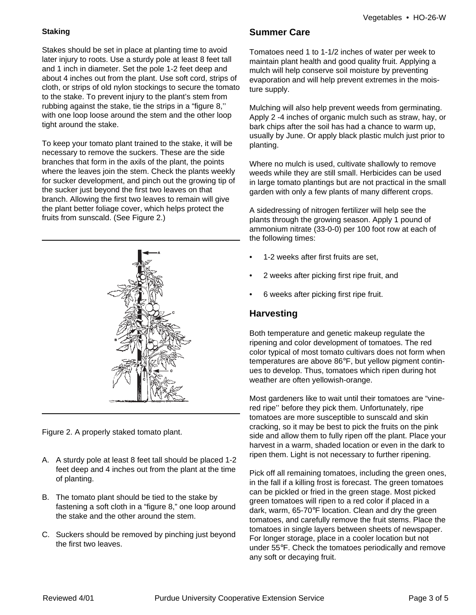#### **Staking**

Stakes should be set in place at planting time to avoid later injury to roots. Use a sturdy pole at least 8 feet tall and 1 inch in diameter. Set the pole 1-2 feet deep and about 4 inches out from the plant. Use soft cord, strips of cloth, or strips of old nylon stockings to secure the tomato to the stake. To prevent injury to the plant's stem from rubbing against the stake, tie the strips in a "figure 8,'' with one loop loose around the stem and the other loop tight around the stake.

To keep your tomato plant trained to the stake, it will be necessary to remove the suckers. These are the side branches that form in the axils of the plant, the points where the leaves join the stem. Check the plants weekly for sucker development, and pinch out the growing tip of the sucker just beyond the first two leaves on that branch. Allowing the first two leaves to remain will give the plant better foliage cover, which helps protect the fruits from sunscald. (See Figure 2.)



Figure 2. A properly staked tomato plant.

- A. A sturdy pole at least 8 feet tall should be placed 1-2 feet deep and 4 inches out from the plant at the time of planting.
- B. The tomato plant should be tied to the stake by fastening a soft cloth in a "figure 8," one loop around the stake and the other around the stem.
- C. Suckers should be removed by pinching just beyond the first two leaves.

## **Summer Care**

Tomatoes need 1 to 1-1/2 inches of water per week to maintain plant health and good quality fruit. Applying a mulch will help conserve soil moisture by preventing evaporation and will help prevent extremes in the moisture supply.

Mulching will also help prevent weeds from germinating. Apply 2 -4 inches of organic mulch such as straw, hay, or bark chips after the soil has had a chance to warm up, usually by June. Or apply black plastic mulch just prior to planting.

Where no mulch is used, cultivate shallowly to remove weeds while they are still small. Herbicides can be used in large tomato plantings but are not practical in the small garden with only a few plants of many different crops.

A sidedressing of nitrogen fertilizer will help see the plants through the growing season. Apply 1 pound of ammonium nitrate (33-0-0) per 100 foot row at each of the following times:

- 1-2 weeks after first fruits are set,
- 2 weeks after picking first ripe fruit, and
- 6 weeks after picking first ripe fruit.

# **Harvesting**

Both temperature and genetic makeup regulate the ripening and color development of tomatoes. The red color typical of most tomato cultivars does not form when temperatures are above 86°F, but yellow pigment continues to develop. Thus, tomatoes which ripen during hot weather are often yellowish-orange.

Most gardeners like to wait until their tomatoes are "vinered ripe'' before they pick them. Unfortunately, ripe tomatoes are more susceptible to sunscald and skin cracking, so it may be best to pick the fruits on the pink side and allow them to fully ripen off the plant. Place your harvest in a warm, shaded location or even in the dark to ripen them. Light is not necessary to further ripening.

Pick off all remaining tomatoes, including the green ones, in the fall if a killing frost is forecast. The green tomatoes can be pickled or fried in the green stage. Most picked green tomatoes will ripen to a red color if placed in a dark, warm, 65-70°F location. Clean and dry the green tomatoes, and carefully remove the fruit stems. Place the tomatoes in single layers between sheets of newspaper. For longer storage, place in a cooler location but not under 55°F. Check the tomatoes periodically and remove any soft or decaying fruit.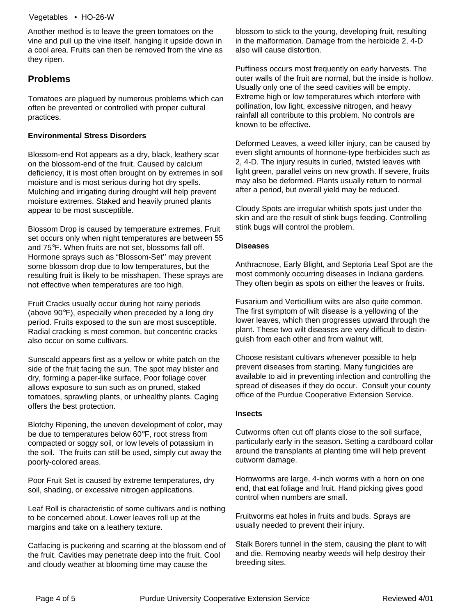Another method is to leave the green tomatoes on the vine and pull up the vine itself, hanging it upside down in a cool area. Fruits can then be removed from the vine as they ripen.

### **Problems**

Tomatoes are plagued by numerous problems which can often be prevented or controlled with proper cultural practices.

#### **Environmental Stress Disorders**

Blossom-end Rot appears as a dry, black, leathery scar on the blossom-end of the fruit. Caused by calcium deficiency, it is most often brought on by extremes in soil moisture and is most serious during hot dry spells. Mulching and irrigating during drought will help prevent moisture extremes. Staked and heavily pruned plants appear to be most susceptible.

Blossom Drop is caused by temperature extremes. Fruit set occurs only when night temperatures are between 55 and 75°F. When fruits are not set, blossoms fall off. Hormone sprays such as "Blossom-Set'' may prevent some blossom drop due to low temperatures, but the resulting fruit is likely to be misshapen. These sprays are not effective when temperatures are too high.

Fruit Cracks usually occur during hot rainy periods (above 90°F), especially when preceded by a long dry period. Fruits exposed to the sun are most susceptible. Radial cracking is most common, but concentric cracks also occur on some cultivars.

Sunscald appears first as a yellow or white patch on the side of the fruit facing the sun. The spot may blister and dry, forming a paper-like surface. Poor foliage cover allows exposure to sun such as on pruned, staked tomatoes, sprawling plants, or unhealthy plants. Caging offers the best protection.

Blotchy Ripening, the uneven development of color, may be due to temperatures below 60°F, root stress from compacted or soggy soil, or low levels of potassium in the soil. The fruits can still be used, simply cut away the poorly-colored areas.

Poor Fruit Set is caused by extreme temperatures, dry soil, shading, or excessive nitrogen applications.

Leaf Roll is characteristic of some cultivars and is nothing to be concerned about. Lower leaves roll up at the margins and take on a leathery texture.

Catfacing is puckering and scarring at the blossom end of the fruit. Cavities may penetrate deep into the fruit. Cool and cloudy weather at blooming time may cause the

blossom to stick to the young, developing fruit, resulting in the malformation. Damage from the herbicide 2, 4-D also will cause distortion.

Puffiness occurs most frequently on early harvests. The outer walls of the fruit are normal, but the inside is hollow. Usually only one of the seed cavities will be empty. Extreme high or low temperatures which interfere with pollination, low light, excessive nitrogen, and heavy rainfall all contribute to this problem. No controls are known to be effective.

Deformed Leaves, a weed killer injury, can be caused by even slight amounts of hormone-type herbicides such as 2, 4-D. The injury results in curled, twisted leaves with light green, parallel veins on new growth. If severe, fruits may also be deformed. Plants usually return to normal after a period, but overall yield may be reduced.

Cloudy Spots are irregular whitish spots just under the skin and are the result of stink bugs feeding. Controlling stink bugs will control the problem.

#### **Diseases**

Anthracnose, Early Blight, and Septoria Leaf Spot are the most commonly occurring diseases in Indiana gardens. They often begin as spots on either the leaves or fruits.

Fusarium and Verticillium wilts are also quite common. The first symptom of wilt disease is a yellowing of the lower leaves, which then progresses upward through the plant. These two wilt diseases are very difficult to distinguish from each other and from walnut wilt.

Choose resistant cultivars whenever possible to help prevent diseases from starting. Many fungicides are available to aid in preventing infection and controlling the spread of diseases if they do occur. Consult your county office of the Purdue Cooperative Extension Service.

#### **Insects**

Cutworms often cut off plants close to the soil surface, particularly early in the season. Setting a cardboard collar around the transplants at planting time will help prevent cutworm damage.

Hornworms are large, 4-inch worms with a horn on one end, that eat foliage and fruit. Hand picking gives good control when numbers are small.

Fruitworms eat holes in fruits and buds. Sprays are usually needed to prevent their injury.

Stalk Borers tunnel in the stem, causing the plant to wilt and die. Removing nearby weeds will help destroy their breeding sites.